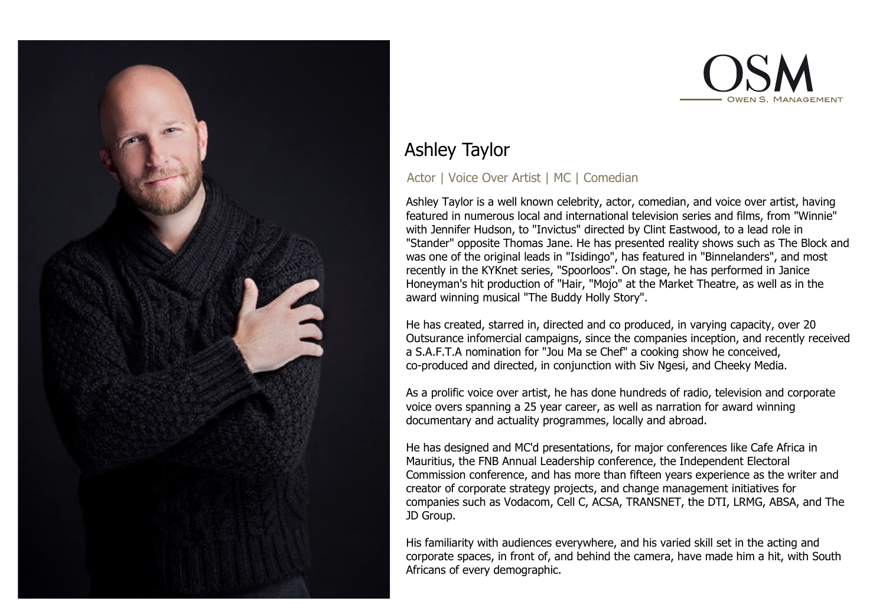



# Ashley Taylor

## Actor | Voice Over Artist | MC | Comedian

Ashley Taylor is a well known celebrity, actor, comedian, and voice over artist, having featured in numerous local and international television series and films, from "Winnie" with Jennifer Hudson, to "Invictus" directed by Clint Eastwood, to a lead role in "Stander" opposite Thomas Jane. He has presented reality shows such as The Block and was one of the original leads in "Isidingo", has featured in "Binnelanders", and most recently in the KYKnet series, "Spoorloos". On stage, he has performed in Janice Honeyman's hit production of "Hair, "Mojo" at the Market Theatre, as well as in the award winning musical "The Buddy Holly Story".

He has created, starred in, directed and co produced, in varying capacity, over 20 Outsurance infomercial campaigns, since the companies inception, and recently received a S.A.F.T.A nomination for "Jou Ma se Chef" a cooking show he conceived, co-produced and directed, in conjunction with Siv Ngesi, and Cheeky Media.

As a prolific voice over artist, he has done hundreds of radio, television and corporate voice overs spanning a 25 year career, as well as narration for award winning documentary and actuality programmes, locally and abroad.

He has designed and MC'd presentations, for major conferences like Cafe Africa in Mauritius, the FNB Annual Leadership conference, the Independent Electoral Commission conference, and has more than fifteen years experience as the writer and creator of corporate strategy projects, and change management initiatives for companies such as Vodacom, Cell C, ACSA, TRANSNET, the DTI, LRMG, ABSA, and The JD Group.

His familiarity with audiences everywhere, and his varied skill set in the acting and corporate spaces, in front of, and behind the camera, have made him a hit, with South Africans of every demographic.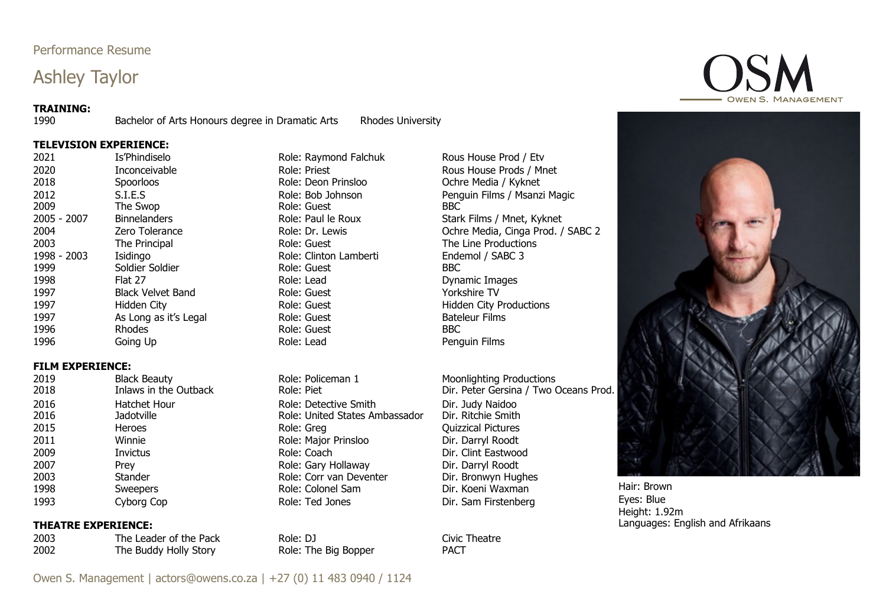## Performance Resume

# Ashley Taylor

### **TRAINING:**

1990 Bachelor of Arts Honours degree in Dramatic Arts Rhodes University

### **TELEVISION EXPERIENCE:**

2021 Is'Phindiselo **Istable Role: Raymond Falchuk** Rous House Prod / Etv 2020 Inconceivable Role: Priest Role: Priest Rous House Prods / Mnet 2018 Spoorloos Spoorloos Role: Deon Prinsloo Christen Denis Africa / Kyknet 2012 S.I.E.S Role: Bob Johnson Penguin Films / Msanzi Magic 2009 The Swop Role: Guest BBC 2005 - 2007 Binnelanders Role: Paul le Roux Stark Films / Mnet, Kyknet 2004 **Zero Tolerance 2004** Role: Dr. Lewis Cohre Media, Cinga Prod. / SABC 2 2003 The Principal **The Role: Guest The Line Productions** Role: Guest The Line Productions 1998 - 2003 Isidingo Role: Clinton Lamberti Endemol / SABC 3 1999 Soldier Soldier Role: Guest 1998 Flat 27 Role: Lead Dynamic Images 1997 Black Velvet Band Role: Guest Yorkshire TV 1997 **Hidden City Role: Guest Communist Productions** Role: Guest **Hidden City Productions** 1997 As Long as it's Legal Role: Guest Bateleur Films 1996 Rhodes Role: Guest BBC 1996 Going Up **Going Community** Role: Lead **Role: Lead** Penguin Films

## **FILM EXPERIENCE:**

2019 Black Beauty Role: Policeman 1 Moonlighting Productions<br>2018 Inlaws in the Outback Role: Piet Dir. Peter Gersina / Two Oceans Prod. 2016 Hatchet Hour Role: Detective Smith Dir. Judy Naidoo 2016 Jadotville Role: United States Ambassador Dir. Ritchie Smith 2015 **Heroes** Heroes Role: Greg **Role: Greg Cuizzical Pictures** 2011 Winnie Winnie Role: Major Prinsloo Dir. Darryl Roodt 2009 Invictus Invictus Role: Coach Dir. Clint Eastwood 2007 Prey Role: Gary Hollaway Dir. Darryl Roodt 2003 Stander Role: Corr van Deventer Dir. Bronwyn Hughes 1998 Sweepers Sweepers Role: Colonel Sam Dir. Koeni Waxman 1993 Cyborg Cop **Cypora Cope Role: Ted Jones** Dir. Sam Firstenberg Hair: Brown Eyes: Blue

### **THEATRE EXPERIENCE:**

2003 The Leader of the Pack Role: DJ Role: DJ Civic Theatre 2002 The Buddy Holly Story Role: The Big Bopper PACT

Height: 1.92m Languages: English and Afrikaans





Owen S. Management | actors@owens.co.za | +27 (0) 11 483 0940 / 1124